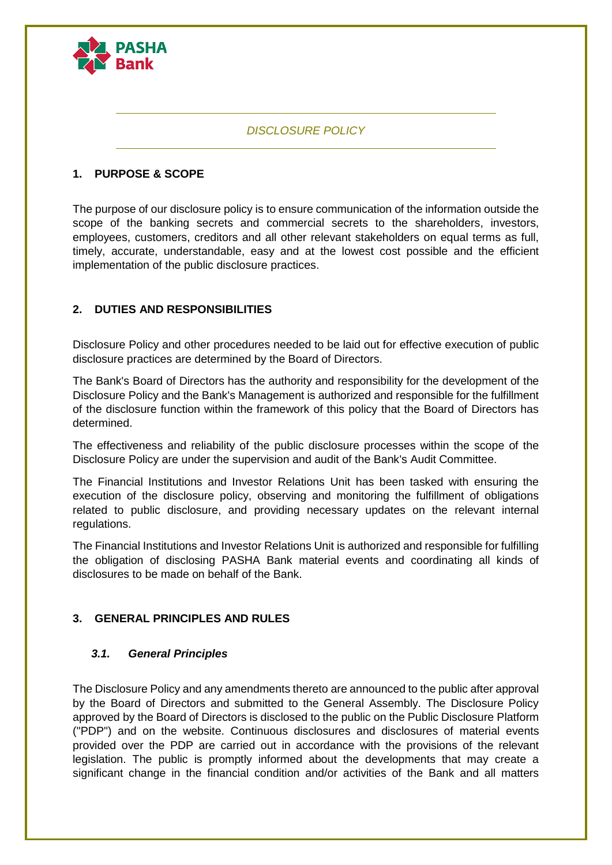

### *DISCLOSURE POLICY*

### **1. PURPOSE & SCOPE**

The purpose of our disclosure policy is to ensure communication of the information outside the scope of the banking secrets and commercial secrets to the shareholders, investors, employees, customers, creditors and all other relevant stakeholders on equal terms as full, timely, accurate, understandable, easy and at the lowest cost possible and the efficient implementation of the public disclosure practices.

### **2. DUTIES AND RESPONSIBILITIES**

Disclosure Policy and other procedures needed to be laid out for effective execution of public disclosure practices are determined by the Board of Directors.

The Bank's Board of Directors has the authority and responsibility for the development of the Disclosure Policy and the Bank's Management is authorized and responsible for the fulfillment of the disclosure function within the framework of this policy that the Board of Directors has determined.

The effectiveness and reliability of the public disclosure processes within the scope of the Disclosure Policy are under the supervision and audit of the Bank's Audit Committee.

The Financial Institutions and Investor Relations Unit has been tasked with ensuring the execution of the disclosure policy, observing and monitoring the fulfillment of obligations related to public disclosure, and providing necessary updates on the relevant internal regulations.

The Financial Institutions and Investor Relations Unit is authorized and responsible for fulfilling the obligation of disclosing PASHA Bank material events and coordinating all kinds of disclosures to be made on behalf of the Bank.

# **3. GENERAL PRINCIPLES AND RULES**

### *3.1. General Principles*

The Disclosure Policy and any amendments thereto are announced to the public after approval by the Board of Directors and submitted to the General Assembly. The Disclosure Policy approved by the Board of Directors is disclosed to the public on the Public Disclosure Platform ("PDP") and on the website. Continuous disclosures and disclosures of material events provided over the PDP are carried out in accordance with the provisions of the relevant legislation. The public is promptly informed about the developments that may create a significant change in the financial condition and/or activities of the Bank and all matters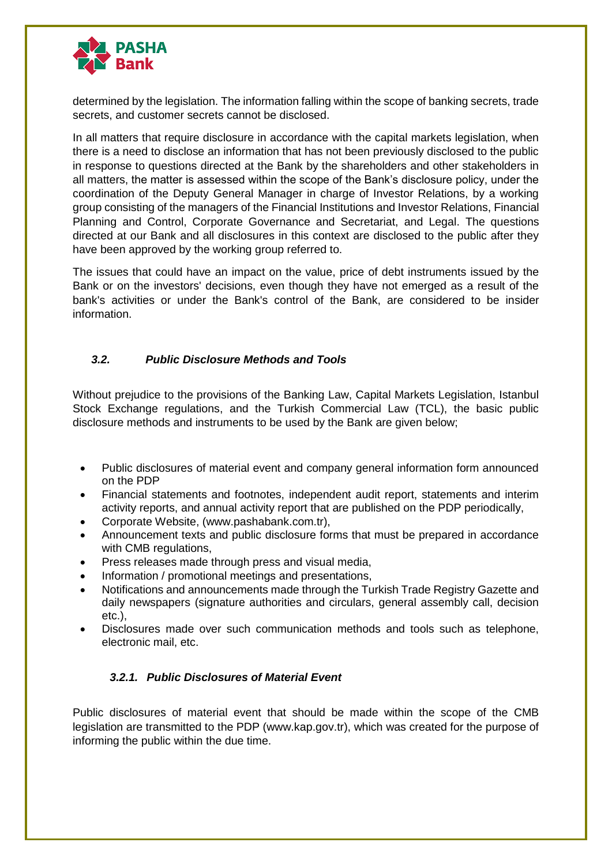

determined by the legislation. The information falling within the scope of banking secrets, trade secrets, and customer secrets cannot be disclosed.

In all matters that require disclosure in accordance with the capital markets legislation, when there is a need to disclose an information that has not been previously disclosed to the public in response to questions directed at the Bank by the shareholders and other stakeholders in all matters, the matter is assessed within the scope of the Bank's disclosure policy, under the coordination of the Deputy General Manager in charge of Investor Relations, by a working group consisting of the managers of the Financial Institutions and Investor Relations, Financial Planning and Control, Corporate Governance and Secretariat, and Legal. The questions directed at our Bank and all disclosures in this context are disclosed to the public after they have been approved by the working group referred to.

The issues that could have an impact on the value, price of debt instruments issued by the Bank or on the investors' decisions, even though they have not emerged as a result of the bank's activities or under the Bank's control of the Bank, are considered to be insider information.

### *3.2. Public Disclosure Methods and Tools*

Without prejudice to the provisions of the Banking Law, Capital Markets Legislation, Istanbul Stock Exchange regulations, and the Turkish Commercial Law (TCL), the basic public disclosure methods and instruments to be used by the Bank are given below;

- Public disclosures of material event and company general information form announced on the PDP
- Financial statements and footnotes, independent audit report, statements and interim activity reports, and annual activity report that are published on the PDP periodically,
- Corporate Website, (www.pashabank.com.tr),
- Announcement texts and public disclosure forms that must be prepared in accordance with CMB regulations,
- Press releases made through press and visual media,
- Information / promotional meetings and presentations,
- Notifications and announcements made through the Turkish Trade Registry Gazette and daily newspapers (signature authorities and circulars, general assembly call, decision etc.),
- Disclosures made over such communication methods and tools such as telephone, electronic mail, etc.

# *3.2.1. Public Disclosures of Material Event*

Public disclosures of material event that should be made within the scope of the CMB legislation are transmitted to the PDP (www.kap.gov.tr), which was created for the purpose of informing the public within the due time.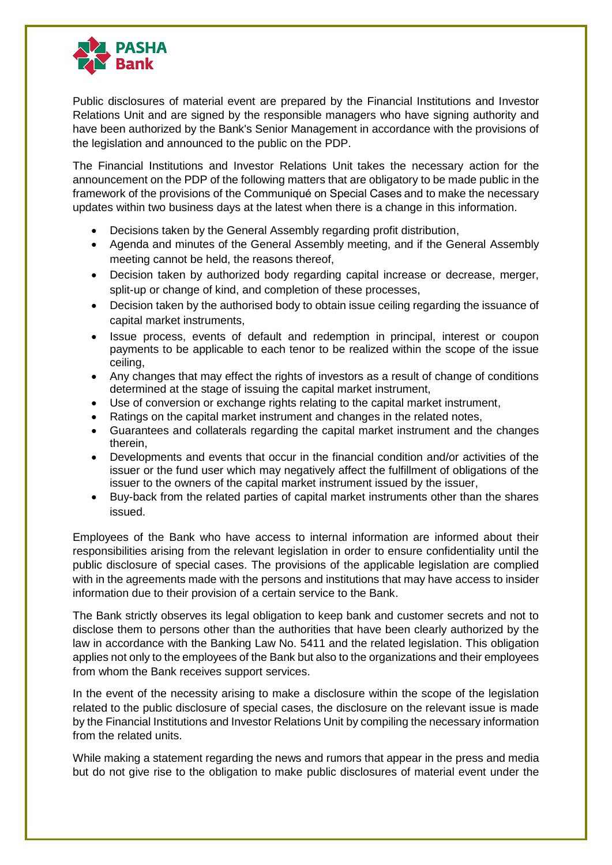

Public disclosures of material event are prepared by the Financial Institutions and Investor Relations Unit and are signed by the responsible managers who have signing authority and have been authorized by the Bank's Senior Management in accordance with the provisions of the legislation and announced to the public on the PDP.

The Financial Institutions and Investor Relations Unit takes the necessary action for the announcement on the PDP of the following matters that are obligatory to be made public in the framework of the provisions of the Communiqué on Special Cases and to make the necessary updates within two business days at the latest when there is a change in this information.

- Decisions taken by the General Assembly regarding profit distribution,
- Agenda and minutes of the General Assembly meeting, and if the General Assembly meeting cannot be held, the reasons thereof,
- Decision taken by authorized body regarding capital increase or decrease, merger, split-up or change of kind, and completion of these processes,
- Decision taken by the authorised body to obtain issue ceiling regarding the issuance of capital market instruments,
- Issue process, events of default and redemption in principal, interest or coupon payments to be applicable to each tenor to be realized within the scope of the issue ceiling,
- Any changes that may effect the rights of investors as a result of change of conditions determined at the stage of issuing the capital market instrument,
- Use of conversion or exchange rights relating to the capital market instrument,
- Ratings on the capital market instrument and changes in the related notes,
- Guarantees and collaterals regarding the capital market instrument and the changes therein,
- Developments and events that occur in the financial condition and/or activities of the issuer or the fund user which may negatively affect the fulfillment of obligations of the issuer to the owners of the capital market instrument issued by the issuer,
- Buy-back from the related parties of capital market instruments other than the shares issued.

Employees of the Bank who have access to internal information are informed about their responsibilities arising from the relevant legislation in order to ensure confidentiality until the public disclosure of special cases. The provisions of the applicable legislation are complied with in the agreements made with the persons and institutions that may have access to insider information due to their provision of a certain service to the Bank.

The Bank strictly observes its legal obligation to keep bank and customer secrets and not to disclose them to persons other than the authorities that have been clearly authorized by the law in accordance with the Banking Law No. 5411 and the related legislation. This obligation applies not only to the employees of the Bank but also to the organizations and their employees from whom the Bank receives support services.

In the event of the necessity arising to make a disclosure within the scope of the legislation related to the public disclosure of special cases, the disclosure on the relevant issue is made by the Financial Institutions and Investor Relations Unit by compiling the necessary information from the related units.

While making a statement regarding the news and rumors that appear in the press and media but do not give rise to the obligation to make public disclosures of material event under the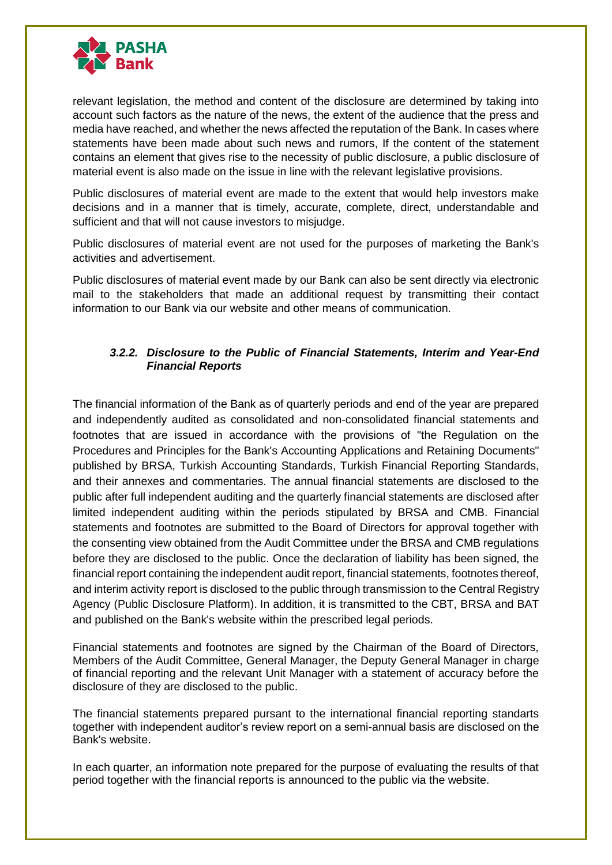

relevant legislation, the method and content of the disclosure are determined by taking into account such factors as the nature of the news, the extent of the audience that the press and media have reached, and whether the news affected the reputation of the Bank. In cases where statements have been made about such news and rumors, If the content of the statement contains an element that gives rise to the necessity of public disclosure, a public disclosure of material event is also made on the issue in line with the relevant legislative provisions.

Public disclosures of material event are made to the extent that would help investors make decisions and in a manner that is timely, accurate, complete, direct, understandable and sufficient and that will not cause investors to misjudge.

Public disclosures of material event are not used for the purposes of marketing the Bank's activities and advertisement.

Public disclosures of material event made by our Bank can also be sent directly via electronic mail to the stakeholders that made an additional request by transmitting their contact information to our Bank via our website and other means of communication.

### *3.2.2. Disclosure to the Public of Financial Statements, Interim and Year-End Financial Reports*

The financial information of the Bank as of quarterly periods and end of the year are prepared and independently audited as consolidated and non-consolidated financial statements and footnotes that are issued in accordance with the provisions of "the Regulation on the Procedures and Principles for the Bank's Accounting Applications and Retaining Documents" published by BRSA, Turkish Accounting Standards, Turkish Financial Reporting Standards, and their annexes and commentaries. The annual financial statements are disclosed to the public after full independent auditing and the quarterly financial statements are disclosed after limited independent auditing within the periods stipulated by BRSA and CMB. Financial statements and footnotes are submitted to the Board of Directors for approval together with the consenting view obtained from the Audit Committee under the BRSA and CMB regulations before they are disclosed to the public. Once the declaration of liability has been signed, the financial report containing the independent audit report, financial statements, footnotes thereof, and interim activity report is disclosed to the public through transmission to the Central Registry Agency (Public Disclosure Platform). In addition, it is transmitted to the CBT, BRSA and BAT and published on the Bank's website within the prescribed legal periods.

Financial statements and footnotes are signed by the Chairman of the Board of Directors, Members of the Audit Committee, General Manager, the Deputy General Manager in charge of financial reporting and the relevant Unit Manager with a statement of accuracy before the disclosure of they are disclosed to the public.

The financial statements prepared pursant to the international financial reporting standarts together with independent auditor's review report on a semi-annual basis are disclosed on the Bank's website.

In each quarter, an information note prepared for the purpose of evaluating the results of that period together with the financial reports is announced to the public via the website.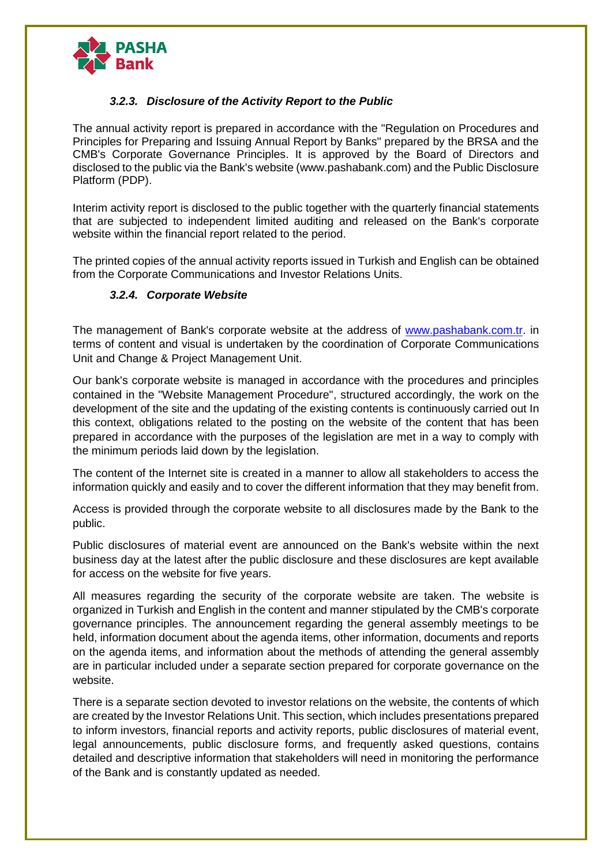

# *3.2.3. Disclosure of the Activity Report to the Public*

The annual activity report is prepared in accordance with the "Regulation on Procedures and Principles for Preparing and Issuing Annual Report by Banks" prepared by the BRSA and the CMB's Corporate Governance Principles. It is approved by the Board of Directors and disclosed to the public via the Bank's website (www.pashabank.com) and the Public Disclosure Platform (PDP).

Interim activity report is disclosed to the public together with the quarterly financial statements that are subjected to independent limited auditing and released on the Bank's corporate website within the financial report related to the period.

The printed copies of the annual activity reports issued in Turkish and English can be obtained from the Corporate Communications and Investor Relations Units.

### *3.2.4. Corporate Website*

The management of Bank's corporate website at the address of [www.pashabank.com.tr.](http://www.pashabank.com.tr/) in terms of content and visual is undertaken by the coordination of Corporate Communications Unit and Change & Project Management Unit.

Our bank's corporate website is managed in accordance with the procedures and principles contained in the "Website Management Procedure", structured accordingly, the work on the development of the site and the updating of the existing contents is continuously carried out In this context, obligations related to the posting on the website of the content that has been prepared in accordance with the purposes of the legislation are met in a way to comply with the minimum periods laid down by the legislation.

The content of the Internet site is created in a manner to allow all stakeholders to access the information quickly and easily and to cover the different information that they may benefit from.

Access is provided through the corporate website to all disclosures made by the Bank to the public.

Public disclosures of material event are announced on the Bank's website within the next business day at the latest after the public disclosure and these disclosures are kept available for access on the website for five years.

All measures regarding the security of the corporate website are taken. The website is organized in Turkish and English in the content and manner stipulated by the CMB's corporate governance principles. The announcement regarding the general assembly meetings to be held, information document about the agenda items, other information, documents and reports on the agenda items, and information about the methods of attending the general assembly are in particular included under a separate section prepared for corporate governance on the website.

There is a separate section devoted to investor relations on the website, the contents of which are created by the Investor Relations Unit. This section, which includes presentations prepared to inform investors, financial reports and activity reports, public disclosures of material event, legal announcements, public disclosure forms, and frequently asked questions, contains detailed and descriptive information that stakeholders will need in monitoring the performance of the Bank and is constantly updated as needed.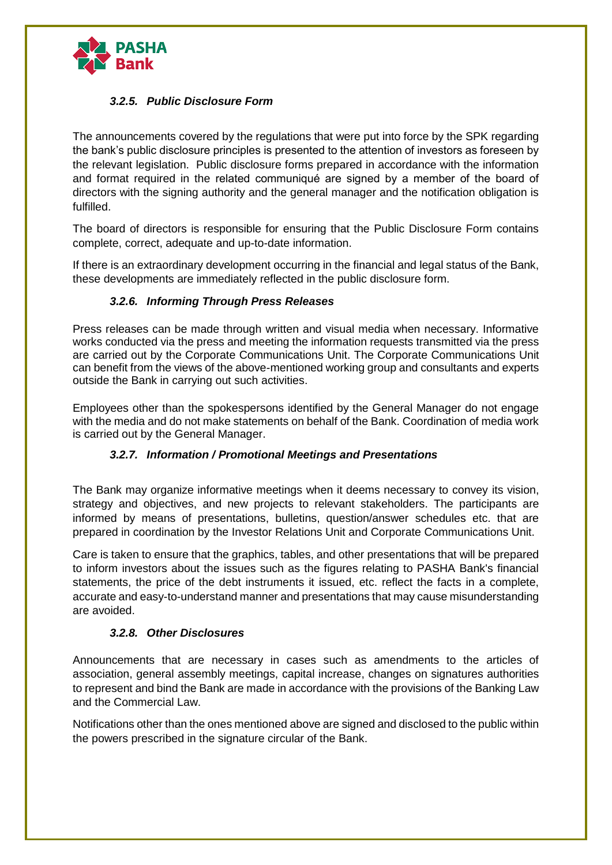

# *3.2.5. Public Disclosure Form*

The announcements covered by the regulations that were put into force by the SPK regarding the bank's public disclosure principles is presented to the attention of investors as foreseen by the relevant legislation. Public disclosure forms prepared in accordance with the information and format required in the related communiqué are signed by a member of the board of directors with the signing authority and the general manager and the notification obligation is fulfilled.

The board of directors is responsible for ensuring that the Public Disclosure Form contains complete, correct, adequate and up-to-date information.

If there is an extraordinary development occurring in the financial and legal status of the Bank, these developments are immediately reflected in the public disclosure form.

# *3.2.6. Informing Through Press Releases*

Press releases can be made through written and visual media when necessary. Informative works conducted via the press and meeting the information requests transmitted via the press are carried out by the Corporate Communications Unit. The Corporate Communications Unit can benefit from the views of the above-mentioned working group and consultants and experts outside the Bank in carrying out such activities.

Employees other than the spokespersons identified by the General Manager do not engage with the media and do not make statements on behalf of the Bank. Coordination of media work is carried out by the General Manager.

# *3.2.7. Information / Promotional Meetings and Presentations*

The Bank may organize informative meetings when it deems necessary to convey its vision, strategy and objectives, and new projects to relevant stakeholders. The participants are informed by means of presentations, bulletins, question/answer schedules etc. that are prepared in coordination by the Investor Relations Unit and Corporate Communications Unit.

Care is taken to ensure that the graphics, tables, and other presentations that will be prepared to inform investors about the issues such as the figures relating to PASHA Bank's financial statements, the price of the debt instruments it issued, etc. reflect the facts in a complete, accurate and easy-to-understand manner and presentations that may cause misunderstanding are avoided.

# *3.2.8. Other Disclosures*

Announcements that are necessary in cases such as amendments to the articles of association, general assembly meetings, capital increase, changes on signatures authorities to represent and bind the Bank are made in accordance with the provisions of the Banking Law and the Commercial Law.

Notifications other than the ones mentioned above are signed and disclosed to the public within the powers prescribed in the signature circular of the Bank.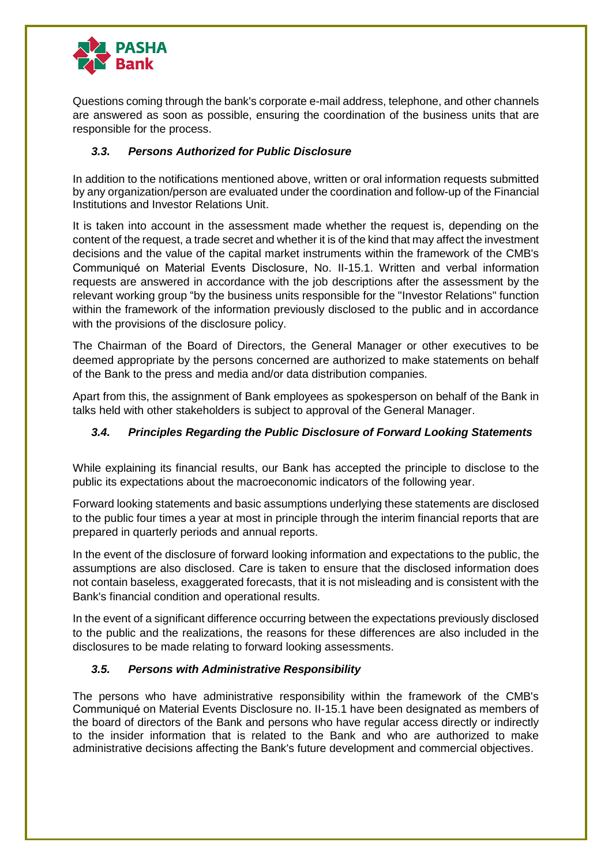

Questions coming through the bank's corporate e-mail address, telephone, and other channels are answered as soon as possible, ensuring the coordination of the business units that are responsible for the process.

# *3.3. Persons Authorized for Public Disclosure*

In addition to the notifications mentioned above, written or oral information requests submitted by any organization/person are evaluated under the coordination and follow-up of the Financial Institutions and Investor Relations Unit.

It is taken into account in the assessment made whether the request is, depending on the content of the request, a trade secret and whether it is of the kind that may affect the investment decisions and the value of the capital market instruments within the framework of the CMB's Communiqué on Material Events Disclosure, No. II-15.1. Written and verbal information requests are answered in accordance with the job descriptions after the assessment by the relevant working group "by the business units responsible for the "Investor Relations" function within the framework of the information previously disclosed to the public and in accordance with the provisions of the disclosure policy.

The Chairman of the Board of Directors, the General Manager or other executives to be deemed appropriate by the persons concerned are authorized to make statements on behalf of the Bank to the press and media and/or data distribution companies.

Apart from this, the assignment of Bank employees as spokesperson on behalf of the Bank in talks held with other stakeholders is subject to approval of the General Manager.

# *3.4. Principles Regarding the Public Disclosure of Forward Looking Statements*

While explaining its financial results, our Bank has accepted the principle to disclose to the public its expectations about the macroeconomic indicators of the following year.

Forward looking statements and basic assumptions underlying these statements are disclosed to the public four times a year at most in principle through the interim financial reports that are prepared in quarterly periods and annual reports.

In the event of the disclosure of forward looking information and expectations to the public, the assumptions are also disclosed. Care is taken to ensure that the disclosed information does not contain baseless, exaggerated forecasts, that it is not misleading and is consistent with the Bank's financial condition and operational results.

In the event of a significant difference occurring between the expectations previously disclosed to the public and the realizations, the reasons for these differences are also included in the disclosures to be made relating to forward looking assessments.

### *3.5. Persons with Administrative Responsibility*

The persons who have administrative responsibility within the framework of the CMB's Communiqué on Material Events Disclosure no. II-15.1 have been designated as members of the board of directors of the Bank and persons who have regular access directly or indirectly to the insider information that is related to the Bank and who are authorized to make administrative decisions affecting the Bank's future development and commercial objectives.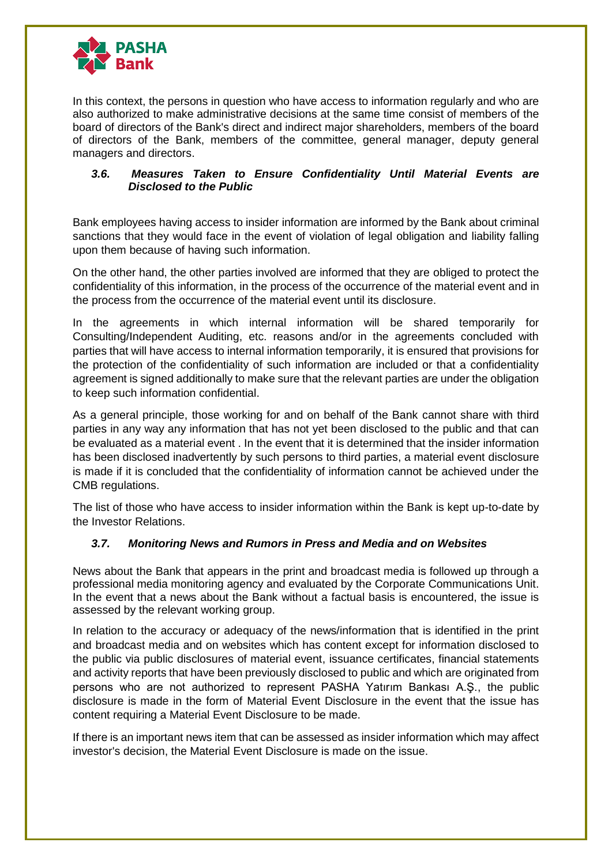

In this context, the persons in question who have access to information regularly and who are also authorized to make administrative decisions at the same time consist of members of the board of directors of the Bank's direct and indirect major shareholders, members of the board of directors of the Bank, members of the committee, general manager, deputy general managers and directors.

### *3.6. Measures Taken to Ensure Confidentiality Until Material Events are Disclosed to the Public*

Bank employees having access to insider information are informed by the Bank about criminal sanctions that they would face in the event of violation of legal obligation and liability falling upon them because of having such information.

On the other hand, the other parties involved are informed that they are obliged to protect the confidentiality of this information, in the process of the occurrence of the material event and in the process from the occurrence of the material event until its disclosure.

In the agreements in which internal information will be shared temporarily for Consulting/Independent Auditing, etc. reasons and/or in the agreements concluded with parties that will have access to internal information temporarily, it is ensured that provisions for the protection of the confidentiality of such information are included or that a confidentiality agreement is signed additionally to make sure that the relevant parties are under the obligation to keep such information confidential.

As a general principle, those working for and on behalf of the Bank cannot share with third parties in any way any information that has not yet been disclosed to the public and that can be evaluated as a material event . In the event that it is determined that the insider information has been disclosed inadvertently by such persons to third parties, a material event disclosure is made if it is concluded that the confidentiality of information cannot be achieved under the CMB regulations.

The list of those who have access to insider information within the Bank is kept up-to-date by the Investor Relations.

# *3.7. Monitoring News and Rumors in Press and Media and on Websites*

News about the Bank that appears in the print and broadcast media is followed up through a professional media monitoring agency and evaluated by the Corporate Communications Unit. In the event that a news about the Bank without a factual basis is encountered, the issue is assessed by the relevant working group.

In relation to the accuracy or adequacy of the news/information that is identified in the print and broadcast media and on websites which has content except for information disclosed to the public via public disclosures of material event, issuance certificates, financial statements and activity reports that have been previously disclosed to public and which are originated from persons who are not authorized to represent PASHA Yatırım Bankası A.Ş., the public disclosure is made in the form of Material Event Disclosure in the event that the issue has content requiring a Material Event Disclosure to be made.

If there is an important news item that can be assessed as insider information which may affect investor's decision, the Material Event Disclosure is made on the issue.